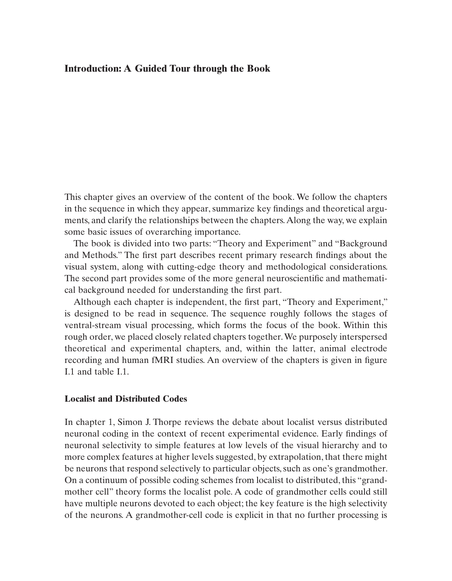## **Introduction: A Guided Tour through the Book**

 This chapter gives an overview of the content of the book. We follow the chapters in the sequence in which they appear, summarize key findings and theoretical arguments, and clarify the relationships between the chapters. Along the way, we explain some basic issues of overarching importance.

The book is divided into two parts: "Theory and Experiment" and "Background and Methods." The first part describes recent primary research findings about the visual system, along with cutting-edge theory and methodological considerations. The second part provides some of the more general neuroscientific and mathematical background needed for understanding the first part.

Although each chapter is independent, the first part, "Theory and Experiment," is designed to be read in sequence. The sequence roughly follows the stages of ventral-stream visual processing, which forms the focus of the book. Within this rough order, we placed closely related chapters together. We purposely interspersed theoretical and experimental chapters, and, within the latter, animal electrode recording and human fMRI studies. An overview of the chapters is given in figure I.1 and table I.1

## **Localist and Distributed Codes**

 In chapter 1, Simon J. Thorpe reviews the debate about localist versus distributed neuronal coding in the context of recent experimental evidence. Early findings of neuronal selectivity to simple features at low levels of the visual hierarchy and to more complex features at higher levels suggested, by extrapolation, that there might be neurons that respond selectively to particular objects, such as one's grandmother. On a continuum of possible coding schemes from localist to distributed, this " grandmother cell" theory forms the localist pole. A code of grandmother cells could still have multiple neurons devoted to each object; the key feature is the high selectivity of the neurons. A grandmother-cell code is explicit in that no further processing is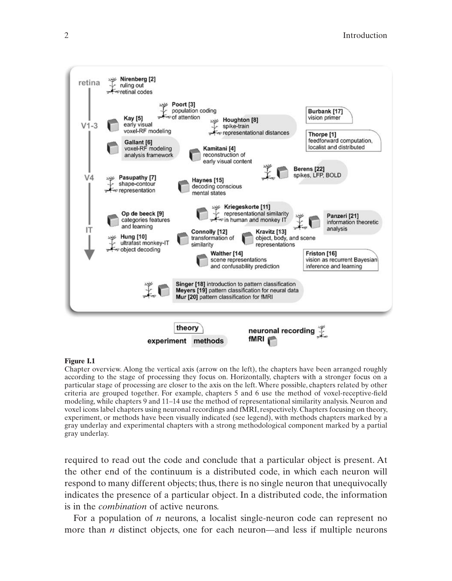

#### **Figure I.1**

 Chapter overview. Along the vertical axis (arrow on the left), the chapters have been arranged roughly according to the stage of processing they focus on. Horizontally, chapters with a stronger focus on a particular stage of processing are closer to the axis on the left. Where possible, chapters related by other criteria are grouped together. For example, chapters 5 and 6 use the method of voxel-receptive-field modeling, while chapters 9 and 11–14 use the method of representational similarity analysis. Neuron and voxel icons label chapters using neuronal recordings and fMRI, respectively. Chapters focusing on theory, experiment, or methods have been visually indicated (see legend), with methods chapters marked by a gray underlay and experimental chapters with a strong methodological component marked by a partial gray underlay.

required to read out the code and conclude that a particular object is present. At the other end of the continuum is a distributed code, in which each neuron will respond to many different objects; thus, there is no single neuron that unequivocally indicates the presence of a particular object. In a distributed code, the information is in the *combination* of active neurons.

 For a population of *n* neurons, a localist single-neuron code can represent no more than *n* distinct objects, one for each neuron—and less if multiple neurons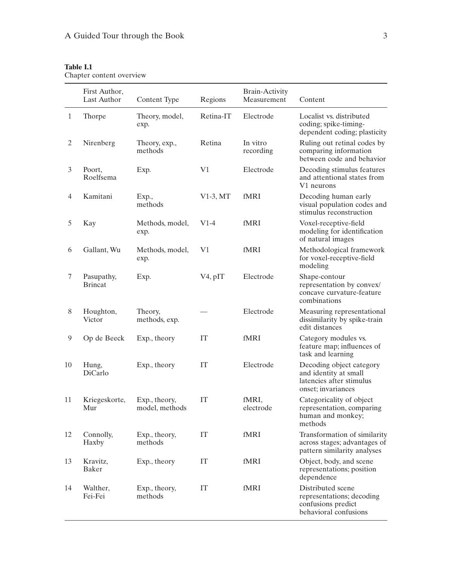|              | First Author,<br><b>Last Author</b> | Content Type                    | Regions              | Brain-Activity<br>Measurement | Content                                                                                             |
|--------------|-------------------------------------|---------------------------------|----------------------|-------------------------------|-----------------------------------------------------------------------------------------------------|
| $\mathbf{1}$ | Thorpe                              | Theory, model,<br>exp.          | Retina-IT            | Electrode                     | Localist vs. distributed<br>coding; spike-timing-<br>dependent coding; plasticity                   |
| 2            | Nirenberg                           | Theory, exp.,<br>methods        | Retina               | In vitro<br>recording         | Ruling out retinal codes by<br>comparing information<br>between code and behavior                   |
| 3            | Poort.<br>Roelfsema                 | Exp.                            | V1                   | Electrode                     | Decoding stimulus features<br>and attentional states from<br>V1 neurons                             |
| 4            | Kamitani                            | Exp.,<br>methods                | $V1-3$ , MT          | fMRI                          | Decoding human early<br>visual population codes and<br>stimulus reconstruction                      |
| 5            | Kay                                 | Methods, model,<br>exp.         | $V1-4$               | fMRI                          | Voxel-receptive-field<br>modeling for identification<br>of natural images                           |
| 6            | Gallant, Wu                         | Methods, model,<br>exp.         | V1                   | fMRI                          | Methodological framework<br>for voxel-receptive-field<br>modeling                                   |
| 7            | Pasupathy,<br><b>Brincat</b>        | Exp.                            | V <sub>4</sub> , pIT | Electrode                     | Shape-contour<br>representation by convex/<br>concave curvature-feature<br>combinations             |
| 8            | Houghton,<br>Victor                 | Theory,<br>methods, exp.        |                      | Electrode                     | Measuring representational<br>dissimilarity by spike-train<br>edit distances                        |
| 9            | Op de Beeck                         | Exp., theory                    | IT                   | fMRI                          | Category modules vs.<br>feature map; influences of<br>task and learning                             |
| 10           | Hung,<br>DiCarlo                    | Exp., theory                    | IT                   | Electrode                     | Decoding object category<br>and identity at small<br>latencies after stimulus<br>onset; invariances |
| 11           | Kriegeskorte,<br>Mur                | Exp., theory,<br>model, methods | IT                   | fMRI,<br>electrode            | Categoricality of object<br>representation, comparing<br>human and monkey;<br>methods               |
| 12           | Connolly,<br>Haxby                  | Exp., theory,<br>methods        | IT                   | fMRI                          | Transformation of similarity<br>across stages; advantages of<br>pattern similarity analyses         |
| 13           | Kravitz,<br>Baker                   | Exp., theory                    | IT                   | fMRI                          | Object, body, and scene<br>representations; position<br>dependence                                  |
| 14           | Walther,<br>Fei-Fei                 | Exp., theory,<br>methods        | IT                   | fMRI                          | Distributed scene<br>representations; decoding<br>confusions predict<br>behavioral confusions       |

 **Table I.1**  Chapter content overview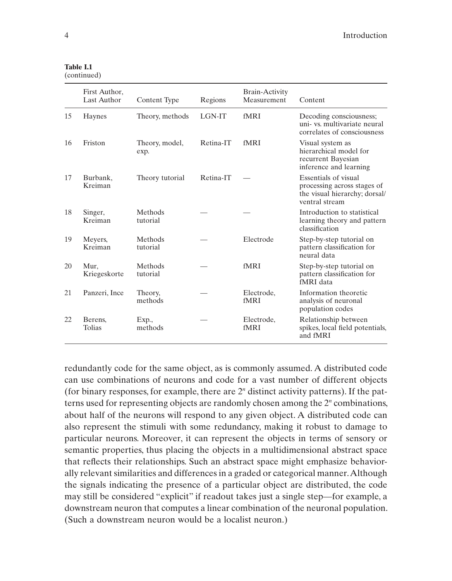| <b>Table I.1</b> |  |
|------------------|--|
| (continued)      |  |

|    | First Author,<br><b>Last Author</b> | Content Type           | Regions   | Brain-Activity<br>Measurement | Content                                                                                                |
|----|-------------------------------------|------------------------|-----------|-------------------------------|--------------------------------------------------------------------------------------------------------|
| 15 | Haynes                              | Theory, methods        | LGN-IT    | fMRI                          | Decoding consciousness;<br>uni- vs. multivariate neural<br>correlates of consciousness                 |
| 16 | Friston                             | Theory, model,<br>exp. | Retina-IT | fMRI                          | Visual system as<br>hierarchical model for<br>recurrent Bayesian<br>inference and learning             |
| 17 | Burbank,<br>Kreiman                 | Theory tutorial        | Retina-IT |                               | Essentials of visual<br>processing across stages of<br>the visual hierarchy; dorsal/<br>ventral stream |
| 18 | Singer,<br>Kreiman                  | Methods<br>tutorial    |           |                               | Introduction to statistical<br>learning theory and pattern<br>classification                           |
| 19 | Meyers,<br>Kreiman                  | Methods<br>tutorial    |           | Electrode                     | Step-by-step tutorial on<br>pattern classification for<br>neural data                                  |
| 20 | Mur.<br>Kriegeskorte                | Methods<br>tutorial    |           | fMRI                          | Step-by-step tutorial on<br>pattern classification for<br>fMRI data                                    |
| 21 | Panzeri, Ince                       | Theory,<br>methods     |           | Electrode,<br>fMRI            | Information theoretic<br>analysis of neuronal<br>population codes                                      |
| 22 | Berens.<br><b>Tolias</b>            | Exp.,<br>methods       |           | Electrode,<br>fMRI            | Relationship between<br>spikes, local field potentials,<br>and fMRI                                    |

redundantly code for the same object, as is commonly assumed. A distributed code can use combinations of neurons and code for a vast number of different objects (for binary responses, for example, there are  $2<sup>n</sup>$  distinct activity patterns). If the patterns used for representing objects are randomly chosen among the  $2^n$  combinations, about half of the neurons will respond to any given object. A distributed code can also represent the stimuli with some redundancy, making it robust to damage to particular neurons. Moreover, it can represent the objects in terms of sensory or semantic properties, thus placing the objects in a multidimensional abstract space that reflects their relationships. Such an abstract space might emphasize behaviorally relevant similarities and differences in a graded or categorical manner. Although the signals indicating the presence of a particular object are distributed, the code may still be considered "explicit" if readout takes just a single step—for example, a downstream neuron that computes a linear combination of the neuronal population. (Such a downstream neuron would be a localist neuron.)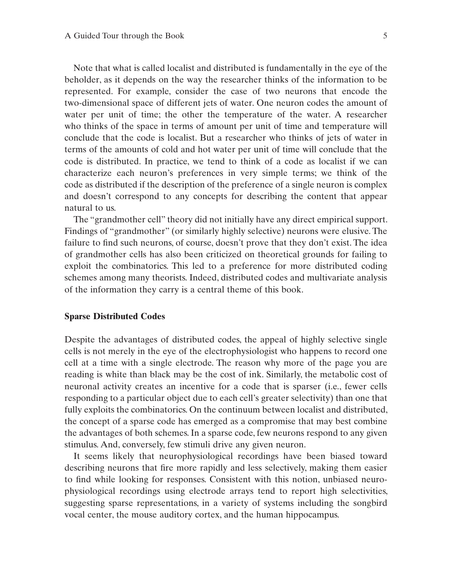Note that what is called localist and distributed is fundamentally in the eye of the beholder, as it depends on the way the researcher thinks of the information to be represented. For example, consider the case of two neurons that encode the two-dimensional space of different jets of water. One neuron codes the amount of water per unit of time; the other the temperature of the water. A researcher who thinks of the space in terms of amount per unit of time and temperature will conclude that the code is localist. But a researcher who thinks of jets of water in terms of the amounts of cold and hot water per unit of time will conclude that the code is distributed. In practice, we tend to think of a code as localist if we can characterize each neuron's preferences in very simple terms; we think of the code as distributed if the description of the preference of a single neuron is complex and doesn't correspond to any concepts for describing the content that appear natural to us.

The "grandmother cell" theory did not initially have any direct empirical support. Findings of "grandmother" (or similarly highly selective) neurons were elusive. The failure to find such neurons, of course, doesn't prove that they don't exist. The idea of grandmother cells has also been criticized on theoretical grounds for failing to exploit the combinatorics. This led to a preference for more distributed coding schemes among many theorists. Indeed, distributed codes and multivariate analysis of the information they carry is a central theme of this book.

### **Sparse Distributed Codes**

 Despite the advantages of distributed codes, the appeal of highly selective single cells is not merely in the eye of the electrophysiologist who happens to record one cell at a time with a single electrode. The reason why more of the page you are reading is white than black may be the cost of ink. Similarly, the metabolic cost of neuronal activity creates an incentive for a code that is sparser (i.e., fewer cells responding to a particular object due to each cell's greater selectivity) than one that fully exploits the combinatorics. On the continuum between localist and distributed, the concept of a sparse code has emerged as a compromise that may best combine the advantages of both schemes. In a sparse code, few neurons respond to any given stimulus. And, conversely, few stimuli drive any given neuron.

 It seems likely that neurophysiological recordings have been biased toward describing neurons that fire more rapidly and less selectively, making them easier to find while looking for responses. Consistent with this notion, unbiased neurophysiological recordings using electrode arrays tend to report high selectivities, suggesting sparse representations, in a variety of systems including the songbird vocal center, the mouse auditory cortex, and the human hippocampus.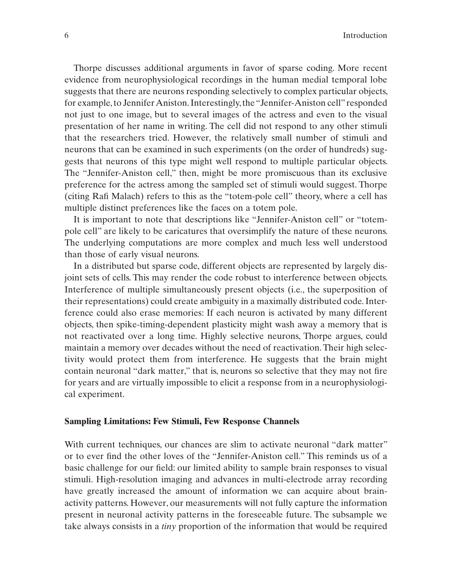Thorpe discusses additional arguments in favor of sparse coding. More recent evidence from neurophysiological recordings in the human medial temporal lobe suggests that there are neurons responding selectively to complex particular objects, for example, to Jennifer Aniston. Interestingly, the " Jennifer-Aniston cell " responded not just to one image, but to several images of the actress and even to the visual presentation of her name in writing. The cell did not respond to any other stimuli that the researchers tried. However, the relatively small number of stimuli and neurons that can be examined in such experiments (on the order of hundreds) suggests that neurons of this type might well respond to multiple particular objects. The "Jennifer-Aniston cell," then, might be more promiscuous than its exclusive preference for the actress among the sampled set of stimuli would suggest. Thorpe (citing Rafi Malach) refers to this as the " totem-pole cell " theory, where a cell has multiple distinct preferences like the faces on a totem pole.

 It is important to note that descriptions like " Jennifer-Aniston cell " or " totempole cell " are likely to be caricatures that oversimplify the nature of these neurons. The underlying computations are more complex and much less well understood than those of early visual neurons.

 In a distributed but sparse code, different objects are represented by largely disjoint sets of cells. This may render the code robust to interference between objects. Interference of multiple simultaneously present objects (i.e., the superposition of their representations) could create ambiguity in a maximally distributed code. Interference could also erase memories: If each neuron is activated by many different objects, then spike-timing-dependent plasticity might wash away a memory that is not reactivated over a long time. Highly selective neurons, Thorpe argues, could maintain a memory over decades without the need of reactivation. Their high selectivity would protect them from interference. He suggests that the brain might contain neuronal "dark matter," that is, neurons so selective that they may not fire for years and are virtually impossible to elicit a response from in a neurophysiological experiment.

#### **Sampling Limitations: Few Stimuli, Few Response Channels**

With current techniques, our chances are slim to activate neuronal "dark matter" or to ever find the other loves of the "Jennifer-Aniston cell." This reminds us of a basic challenge for our field: our limited ability to sample brain responses to visual stimuli. High-resolution imaging and advances in multi-electrode array recording have greatly increased the amount of information we can acquire about brainactivity patterns. However, our measurements will not fully capture the information present in neuronal activity patterns in the foreseeable future. The subsample we take always consists in a *tiny* proportion of the information that would be required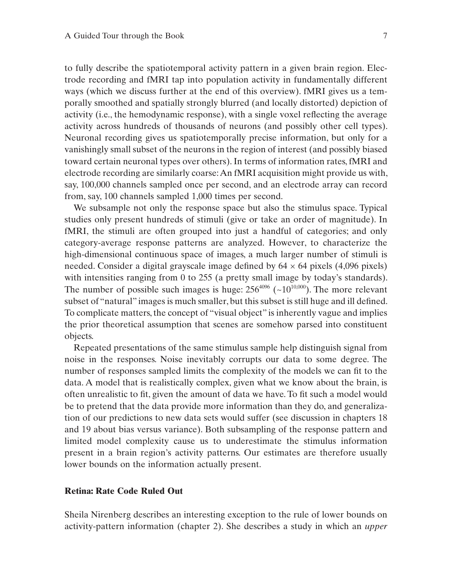to fully describe the spatiotemporal activity pattern in a given brain region. Electrode recording and fMRI tap into population activity in fundamentally different ways (which we discuss further at the end of this overview). fMRI gives us a temporally smoothed and spatially strongly blurred (and locally distorted) depiction of activity (i.e., the hemodynamic response), with a single voxel reflecting the average activity across hundreds of thousands of neurons (and possibly other cell types). Neuronal recording gives us spatiotemporally precise information, but only for a vanishingly small subset of the neurons in the region of interest (and possibly biased toward certain neuronal types over others). In terms of information rates, fMRI and electrode recording are similarly coarse: An fMRI acquisition might provide us with, say, 100,000 channels sampled once per second, and an electrode array can record from, say, 100 channels sampled 1,000 times per second.

 We subsample not only the response space but also the stimulus space. Typical studies only present hundreds of stimuli (give or take an order of magnitude). In fMRI, the stimuli are often grouped into just a handful of categories; and only category-average response patterns are analyzed. However, to characterize the high-dimensional continuous space of images, a much larger number of stimuli is needed. Consider a digital grayscale image defined by  $64 \times 64$  pixels (4,096 pixels) with intensities ranging from  $0$  to 255 (a pretty small image by today's standards). The number of possible such images is huge:  $256^{4096}$  ( $\sim 10^{10,000}$ ). The more relevant subset of "natural" images is much smaller, but this subset is still huge and ill defined. To complicate matters, the concept of "visual object" is inherently vague and implies the prior theoretical assumption that scenes are somehow parsed into constituent objects.

 Repeated presentations of the same stimulus sample help distinguish signal from noise in the responses. Noise inevitably corrupts our data to some degree. The number of responses sampled limits the complexity of the models we can fi t to the data. A model that is realistically complex, given what we know about the brain, is often unrealistic to fit, given the amount of data we have. To fit such a model would be to pretend that the data provide more information than they do, and generalization of our predictions to new data sets would suffer (see discussion in chapters 18 and 19 about bias versus variance). Both subsampling of the response pattern and limited model complexity cause us to underestimate the stimulus information present in a brain region's activity patterns. Our estimates are therefore usually lower bounds on the information actually present.

#### **Retina: Rate Code Ruled Out**

 Sheila Nirenberg describes an interesting exception to the rule of lower bounds on activity-pattern information (chapter 2). She describes a study in which an *upper*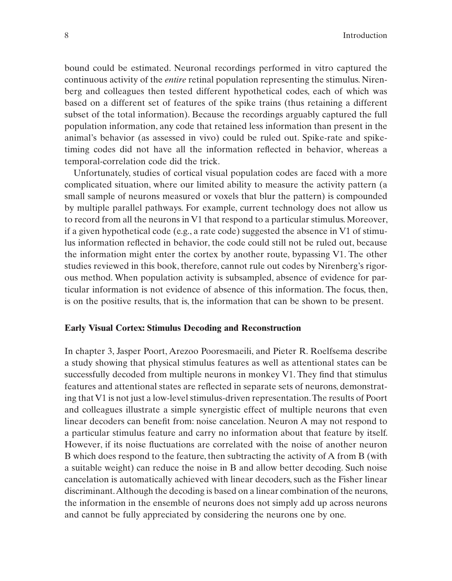bound could be estimated. Neuronal recordings performed in vitro captured the continuous activity of the *entire* retinal population representing the stimulus. Nirenberg and colleagues then tested different hypothetical codes, each of which was based on a different set of features of the spike trains (thus retaining a different subset of the total information). Because the recordings arguably captured the full population information, any code that retained less information than present in the animal's behavior (as assessed in vivo) could be ruled out. Spike-rate and spiketiming codes did not have all the information reflected in behavior, whereas a temporal-correlation code did the trick.

 Unfortunately, studies of cortical visual population codes are faced with a more complicated situation, where our limited ability to measure the activity pattern (a small sample of neurons measured or voxels that blur the pattern) is compounded by multiple parallel pathways. For example, current technology does not allow us to record from all the neurons in V1 that respond to a particular stimulus. Moreover, if a given hypothetical code (e.g., a rate code) suggested the absence in V1 of stimulus information reflected in behavior, the code could still not be ruled out, because the information might enter the cortex by another route, bypassing V1. The other studies reviewed in this book, therefore, cannot rule out codes by Nirenberg's rigorous method. When population activity is subsampled, absence of evidence for particular information is not evidence of absence of this information. The focus, then, is on the positive results, that is, the information that can be shown to be present.

#### **Early Visual Cortex: Stimulus Decoding and Reconstruction**

 In chapter 3, Jasper Poort, Arezoo Pooresmaeili, and Pieter R. Roelfsema describe a study showing that physical stimulus features as well as attentional states can be successfully decoded from multiple neurons in monkey V1. They find that stimulus features and attentional states are reflected in separate sets of neurons, demonstrating that V1 is not just a low-level stimulus-driven representation. The results of Poort and colleagues illustrate a simple synergistic effect of multiple neurons that even linear decoders can benefit from: noise cancelation. Neuron A may not respond to a particular stimulus feature and carry no information about that feature by itself. However, if its noise fluctuations are correlated with the noise of another neuron B which does respond to the feature, then subtracting the activity of A from B (with a suitable weight) can reduce the noise in B and allow better decoding. Such noise cancelation is automatically achieved with linear decoders, such as the Fisher linear discriminant. Although the decoding is based on a linear combination of the neurons, the information in the ensemble of neurons does not simply add up across neurons and cannot be fully appreciated by considering the neurons one by one.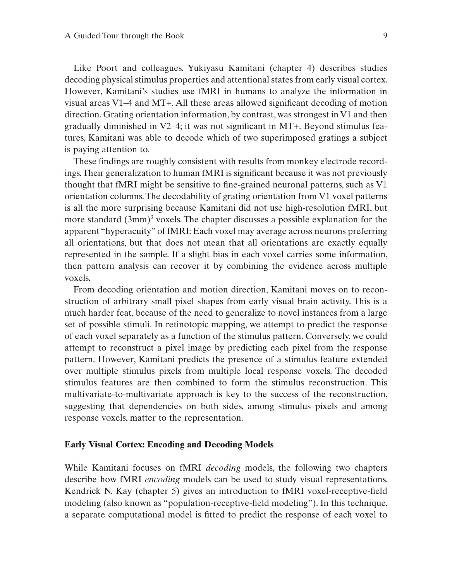Like Poort and colleagues, Yukiyasu Kamitani (chapter 4) describes studies decoding physical stimulus properties and attentional states from early visual cortex. However, Kamitani's studies use fMRI in humans to analyze the information in visual areas  $V1-4$  and MT+. All these areas allowed significant decoding of motion direction. Grating orientation information, by contrast, was strongest in V1 and then gradually diminished in V2-4; it was not significant in MT+. Beyond stimulus features, Kamitani was able to decode which of two superimposed gratings a subject is paying attention to.

These findings are roughly consistent with results from monkey electrode recordings. Their generalization to human fMRI is significant because it was not previously thought that fMRI might be sensitive to fine-grained neuronal patterns, such as  $V1$ orientation columns. The decodability of grating orientation from V1 voxel patterns is all the more surprising because Kamitani did not use high-resolution fMRI, but more standard (3mm)<sup>3</sup> voxels. The chapter discusses a possible explanation for the apparent " hyperacuity " of fMRI: Each voxel may average across neurons preferring all orientations, but that does not mean that all orientations are exactly equally represented in the sample. If a slight bias in each voxel carries some information, then pattern analysis can recover it by combining the evidence across multiple voxels.

 From decoding orientation and motion direction, Kamitani moves on to reconstruction of arbitrary small pixel shapes from early visual brain activity. This is a much harder feat, because of the need to generalize to novel instances from a large set of possible stimuli. In retinotopic mapping, we attempt to predict the response of each voxel separately as a function of the stimulus pattern. Conversely, we could attempt to reconstruct a pixel image by predicting each pixel from the response pattern. However, Kamitani predicts the presence of a stimulus feature extended over multiple stimulus pixels from multiple local response voxels. The decoded stimulus features are then combined to form the stimulus reconstruction. This multivariate-to-multivariate approach is key to the success of the reconstruction, suggesting that dependencies on both sides, among stimulus pixels and among response voxels, matter to the representation.

### **Early Visual Cortex: Encoding and Decoding Models**

 While Kamitani focuses on fMRI *decoding* models, the following two chapters describe how fMRI *encoding* models can be used to study visual representations. Kendrick N. Kay (chapter 5) gives an introduction to fMRI voxel-receptive-field modeling (also known as "population-receptive-field modeling"). In this technique, a separate computational model is fitted to predict the response of each voxel to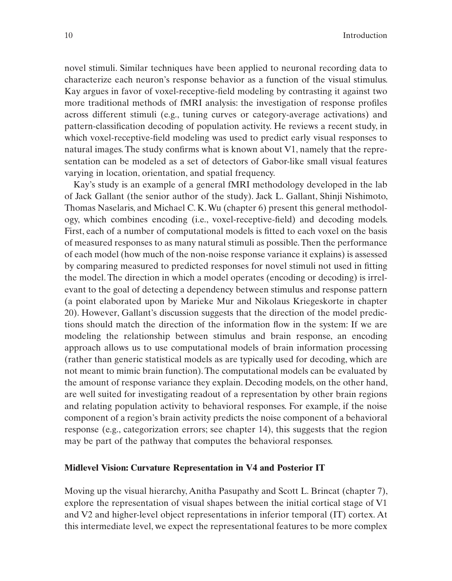novel stimuli. Similar techniques have been applied to neuronal recording data to characterize each neuron's response behavior as a function of the visual stimulus. Kay argues in favor of voxel-receptive-field modeling by contrasting it against two more traditional methods of fMRI analysis: the investigation of response profiles across different stimuli (e.g., tuning curves or category-average activations) and pattern-classification decoding of population activity. He reviews a recent study, in which voxel-receptive-field modeling was used to predict early visual responses to natural images. The study confirms what is known about  $V1$ , namely that the representation can be modeled as a set of detectors of Gabor-like small visual features varying in location, orientation, and spatial frequency.

Kay's study is an example of a general fMRI methodology developed in the lab of Jack Gallant (the senior author of the study). Jack L. Gallant, Shinji Nishimoto, Thomas Naselaris, and Michael C. K. Wu (chapter 6) present this general methodology, which combines encoding (i.e., voxel-receptive-field) and decoding models. First, each of a number of computational models is fitted to each voxel on the basis of measured responses to as many natural stimuli as possible. Then the performance of each model (how much of the non-noise response variance it explains) is assessed by comparing measured to predicted responses for novel stimuli not used in fitting the model. The direction in which a model operates (encoding or decoding) is irrelevant to the goal of detecting a dependency between stimulus and response pattern (a point elaborated upon by Marieke Mur and Nikolaus Kriegeskorte in chapter 20). However, Gallant's discussion suggests that the direction of the model predictions should match the direction of the information flow in the system: If we are modeling the relationship between stimulus and brain response, an encoding approach allows us to use computational models of brain information processing (rather than generic statistical models as are typically used for decoding, which are not meant to mimic brain function). The computational models can be evaluated by the amount of response variance they explain. Decoding models, on the other hand, are well suited for investigating readout of a representation by other brain regions and relating population activity to behavioral responses. For example, if the noise component of a region's brain activity predicts the noise component of a behavioral response (e.g., categorization errors; see chapter 14), this suggests that the region may be part of the pathway that computes the behavioral responses.

#### **Midlevel Vision: Curvature Representation in V4 and Posterior IT**

 Moving up the visual hierarchy, Anitha Pasupathy and Scott L. Brincat (chapter 7), explore the representation of visual shapes between the initial cortical stage of V1 and V2 and higher-level object representations in inferior temporal (IT) cortex. At this intermediate level, we expect the representational features to be more complex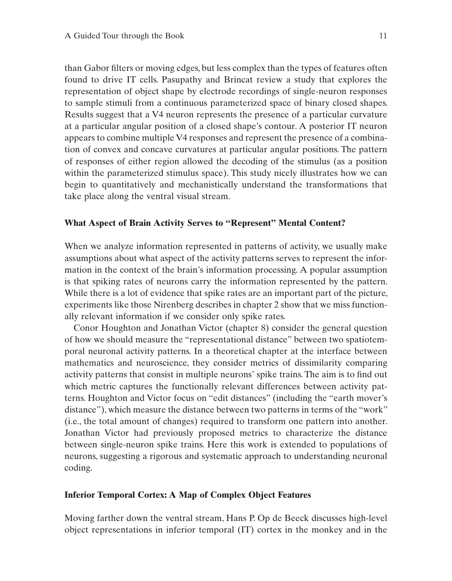than Gabor filters or moving edges, but less complex than the types of features often found to drive IT cells. Pasupathy and Brincat review a study that explores the representation of object shape by electrode recordings of single-neuron responses to sample stimuli from a continuous parameterized space of binary closed shapes. Results suggest that a V4 neuron represents the presence of a particular curvature at a particular angular position of a closed shape's contour. A posterior IT neuron appears to combine multiple V4 responses and represent the presence of a combination of convex and concave curvatures at particular angular positions. The pattern of responses of either region allowed the decoding of the stimulus (as a position within the parameterized stimulus space). This study nicely illustrates how we can begin to quantitatively and mechanistically understand the transformations that take place along the ventral visual stream.

### **What Aspect of Brain Activity Serves to "Represent" Mental Content?**

 When we analyze information represented in patterns of activity, we usually make assumptions about what aspect of the activity patterns serves to represent the information in the context of the brain's information processing. A popular assumption is that spiking rates of neurons carry the information represented by the pattern. While there is a lot of evidence that spike rates are an important part of the picture, experiments like those Nirenberg describes in chapter 2 show that we miss functionally relevant information if we consider only spike rates.

 Conor Houghton and Jonathan Victor (chapter 8) consider the general question of how we should measure the " representational distance " between two spatiotemporal neuronal activity patterns. In a theoretical chapter at the interface between mathematics and neuroscience, they consider metrics of dissimilarity comparing activity patterns that consist in multiple neurons' spike trains. The aim is to find out which metric captures the functionally relevant differences between activity patterns. Houghton and Victor focus on "edit distances" (including the "earth mover's distance"), which measure the distance between two patterns in terms of the "work" (i.e., the total amount of changes) required to transform one pattern into another. Jonathan Victor had previously proposed metrics to characterize the distance between single-neuron spike trains. Here this work is extended to populations of neurons, suggesting a rigorous and systematic approach to understanding neuronal coding.

#### **Inferior Temporal Cortex: A Map of Complex Object Features**

 Moving farther down the ventral stream, Hans P. Op de Beeck discusses high-level object representations in inferior temporal (IT) cortex in the monkey and in the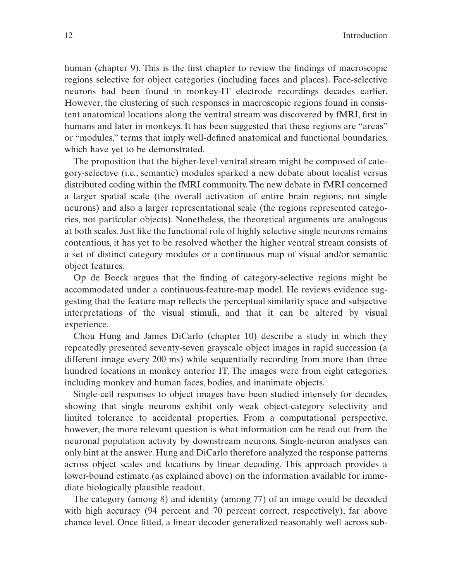human (chapter 9). This is the first chapter to review the findings of macroscopic regions selective for object categories (including faces and places). Face-selective neurons had been found in monkey-IT electrode recordings decades earlier. However, the clustering of such responses in macroscopic regions found in consistent anatomical locations along the ventral stream was discovered by fMRI, first in humans and later in monkeys. It has been suggested that these regions are "areas" or "modules," terms that imply well-defined anatomical and functional boundaries, which have yet to be demonstrated.

 The proposition that the higher-level ventral stream might be composed of category-selective (i.e., semantic) modules sparked a new debate about localist versus distributed coding within the fMRI community. The new debate in fMRI concerned a larger spatial scale (the overall activation of entire brain regions, not single neurons) and also a larger representational scale (the regions represented categories, not particular objects). Nonetheless, the theoretical arguments are analogous at both scales. Just like the functional role of highly selective single neurons remains contentious, it has yet to be resolved whether the higher ventral stream consists of a set of distinct category modules or a continuous map of visual and/or semantic object features.

Op de Beeck argues that the finding of category-selective regions might be accommodated under a continuous-feature-map model. He reviews evidence suggesting that the feature map reflects the perceptual similarity space and subjective interpretations of the visual stimuli, and that it can be altered by visual experience.

 Chou Hung and James DiCarlo (chapter 10) describe a study in which they repeatedly presented seventy-seven grayscale object images in rapid succession (a different image every 200 ms) while sequentially recording from more than three hundred locations in monkey anterior IT. The images were from eight categories, including monkey and human faces, bodies, and inanimate objects.

 Single-cell responses to object images have been studied intensely for decades, showing that single neurons exhibit only weak object-category selectivity and limited tolerance to accidental properties. From a computational perspective, however, the more relevant question is what information can be read out from the neuronal population activity by downstream neurons. Single-neuron analyses can only hint at the answer. Hung and DiCarlo therefore analyzed the response patterns across object scales and locations by linear decoding. This approach provides a lower-bound estimate (as explained above) on the information available for immediate biologically plausible readout.

 The category (among 8) and identity (among 77) of an image could be decoded with high accuracy (94 percent and 70 percent correct, respectively), far above chance level. Once fitted, a linear decoder generalized reasonably well across sub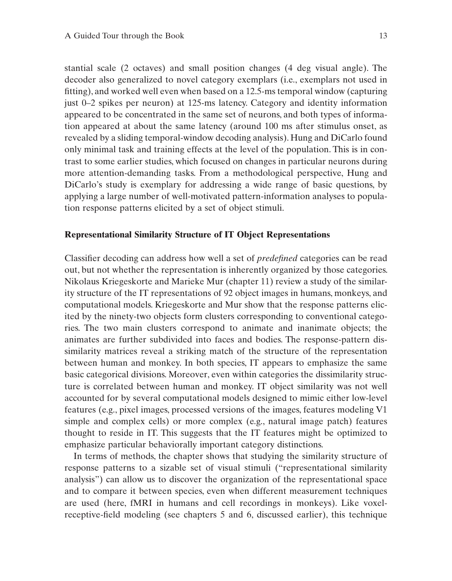stantial scale (2 octaves) and small position changes (4 deg visual angle). The decoder also generalized to novel category exemplars (i.e., exemplars not used in fitting), and worked well even when based on a 12.5-ms temporal window (capturing just 0–2 spikes per neuron) at 125-ms latency. Category and identity information appeared to be concentrated in the same set of neurons, and both types of information appeared at about the same latency (around 100 ms after stimulus onset, as revealed by a sliding temporal-window decoding analysis). Hung and DiCarlo found only minimal task and training effects at the level of the population. This is in contrast to some earlier studies, which focused on changes in particular neurons during more attention-demanding tasks. From a methodological perspective, Hung and DiCarlo's study is exemplary for addressing a wide range of basic questions, by applying a large number of well-motivated pattern-information analyses to population response patterns elicited by a set of object stimuli.

#### **Representational Similarity Structure of IT Object Representations**

Classifier decoding can address how well a set of *predefined* categories can be read out, but not whether the representation is inherently organized by those categories. Nikolaus Kriegeskorte and Marieke Mur (chapter 11) review a study of the similarity structure of the IT representations of 92 object images in humans, monkeys, and computational models. Kriegeskorte and Mur show that the response patterns elicited by the ninety-two objects form clusters corresponding to conventional categories. The two main clusters correspond to animate and inanimate objects; the animates are further subdivided into faces and bodies. The response-pattern dissimilarity matrices reveal a striking match of the structure of the representation between human and monkey. In both species, IT appears to emphasize the same basic categorical divisions. Moreover, even within categories the dissimilarity structure is correlated between human and monkey. IT object similarity was not well accounted for by several computational models designed to mimic either low-level features (e.g., pixel images, processed versions of the images, features modeling V1 simple and complex cells) or more complex (e.g., natural image patch) features thought to reside in IT. This suggests that the IT features might be optimized to emphasize particular behaviorally important category distinctions.

 In terms of methods, the chapter shows that studying the similarity structure of response patterns to a sizable set of visual stimuli ("representational similarity analysis") can allow us to discover the organization of the representational space and to compare it between species, even when different measurement techniques are used (here, fMRI in humans and cell recordings in monkeys). Like voxelreceptive-field modeling (see chapters 5 and 6, discussed earlier), this technique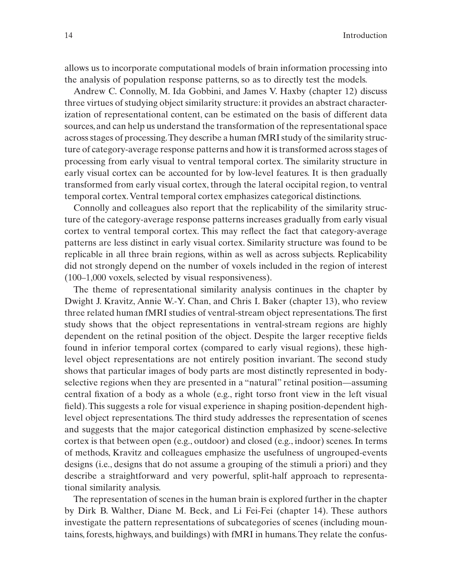allows us to incorporate computational models of brain information processing into the analysis of population response patterns, so as to directly test the models.

 Andrew C. Connolly, M. Ida Gobbini, and James V. Haxby (chapter 12) discuss three virtues of studying object similarity structure: it provides an abstract characterization of representational content, can be estimated on the basis of different data sources, and can help us understand the transformation of the representational space across stages of processing. They describe a human fMRI study of the similarity structure of category-average response patterns and how it is transformed across stages of processing from early visual to ventral temporal cortex. The similarity structure in early visual cortex can be accounted for by low-level features. It is then gradually transformed from early visual cortex, through the lateral occipital region, to ventral temporal cortex. Ventral temporal cortex emphasizes categorical distinctions.

 Connolly and colleagues also report that the replicability of the similarity structure of the category-average response patterns increases gradually from early visual cortex to ventral temporal cortex. This may reflect the fact that category-average patterns are less distinct in early visual cortex. Similarity structure was found to be replicable in all three brain regions, within as well as across subjects. Replicability did not strongly depend on the number of voxels included in the region of interest  $(100-1,000$  voxels, selected by visual responsiveness).

 The theme of representational similarity analysis continues in the chapter by Dwight J. Kravitz, Annie W.-Y. Chan, and Chris I. Baker (chapter 13), who review three related human fMRI studies of ventral-stream object representations. The first study shows that the object representations in ventral-stream regions are highly dependent on the retinal position of the object. Despite the larger receptive fields found in inferior temporal cortex (compared to early visual regions), these highlevel object representations are not entirely position invariant. The second study shows that particular images of body parts are most distinctly represented in bodyselective regions when they are presented in a "natural" retinal position—assuming central fixation of a body as a whole (e.g., right torso front view in the left visual field). This suggests a role for visual experience in shaping position-dependent highlevel object representations. The third study addresses the representation of scenes and suggests that the major categorical distinction emphasized by scene-selective cortex is that between open (e.g., outdoor) and closed (e.g., indoor) scenes. In terms of methods, Kravitz and colleagues emphasize the usefulness of ungrouped-events designs (i.e., designs that do not assume a grouping of the stimuli a priori) and they describe a straightforward and very powerful, split-half approach to representational similarity analysis.

 The representation of scenes in the human brain is explored further in the chapter by Dirk B. Walther, Diane M. Beck, and Li Fei-Fei (chapter 14). These authors investigate the pattern representations of subcategories of scenes (including mountains, forests, highways, and buildings) with fMRI in humans. They relate the confus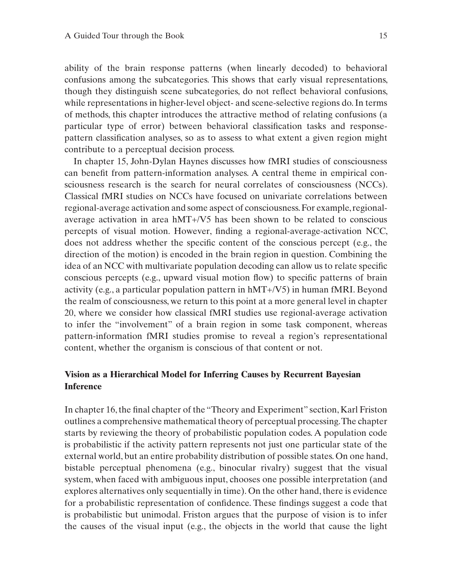ability of the brain response patterns (when linearly decoded) to behavioral confusions among the subcategories. This shows that early visual representations, though they distinguish scene subcategories, do not reflect behavioral confusions, while representations in higher-level object- and scene-selective regions do. In terms of methods, this chapter introduces the attractive method of relating confusions (a particular type of error) between behavioral classification tasks and responsepattern classification analyses, so as to assess to what extent a given region might contribute to a perceptual decision process.

 In chapter 15, John-Dylan Haynes discusses how fMRI studies of consciousness can benefit from pattern-information analyses. A central theme in empirical consciousness research is the search for neural correlates of consciousness (NCCs). Classical fMRI studies on NCCs have focused on univariate correlations between regional-average activation and some aspect of consciousness. For example, regionalaverage activation in area hMT+/V5 has been shown to be related to conscious percepts of visual motion. However, finding a regional-average-activation NCC, does not address whether the specific content of the conscious percept (e.g., the direction of the motion) is encoded in the brain region in question. Combining the idea of an NCC with multivariate population decoding can allow us to relate specific conscious percepts (e.g., upward visual motion flow) to specific patterns of brain activity (e.g., a particular population pattern in hMT+/V5) in human fMRI. Beyond the realm of consciousness, we return to this point at a more general level in chapter 20, where we consider how classical fMRI studies use regional-average activation to infer the "involvement" of a brain region in some task component, whereas pattern-information fMRI studies promise to reveal a region's representational content, whether the organism is conscious of that content or not.

# **Vision as a Hierarchical Model for Inferring Causes by Recurrent Bayesian Inference**

In chapter 16, the final chapter of the "Theory and Experiment" section, Karl Friston outlines a comprehensive mathematical theory of perceptual processing. The chapter starts by reviewing the theory of probabilistic population codes. A population code is probabilistic if the activity pattern represents not just one particular state of the external world, but an entire probability distribution of possible states. On one hand, bistable perceptual phenomena (e.g., binocular rivalry) suggest that the visual system, when faced with ambiguous input, chooses one possible interpretation (and explores alternatives only sequentially in time). On the other hand, there is evidence for a probabilistic representation of confidence. These findings suggest a code that is probabilistic but unimodal. Friston argues that the purpose of vision is to infer the causes of the visual input (e.g., the objects in the world that cause the light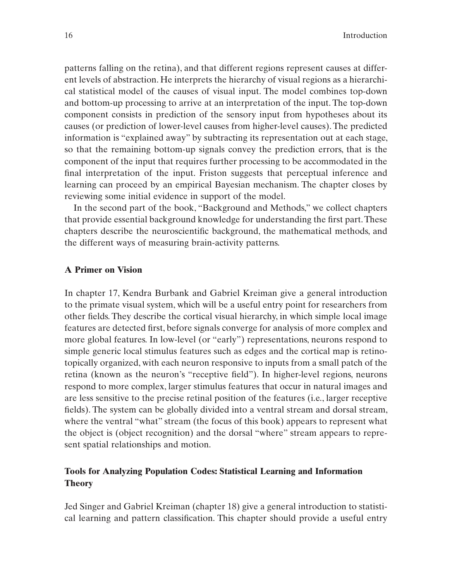patterns falling on the retina), and that different regions represent causes at different levels of abstraction. He interprets the hierarchy of visual regions as a hierarchical statistical model of the causes of visual input. The model combines top-down and bottom-up processing to arrive at an interpretation of the input. The top-down component consists in prediction of the sensory input from hypotheses about its causes (or prediction of lower-level causes from higher-level causes). The predicted information is "explained away" by subtracting its representation out at each stage, so that the remaining bottom-up signals convey the prediction errors, that is the component of the input that requires further processing to be accommodated in the final interpretation of the input. Friston suggests that perceptual inference and learning can proceed by an empirical Bayesian mechanism. The chapter closes by reviewing some initial evidence in support of the model.

 In the second part of the book, " Background and Methods, " we collect chapters that provide essential background knowledge for understanding the first part. These chapters describe the neuroscientific background, the mathematical methods, and the different ways of measuring brain-activity patterns.

## **A Primer on Vision**

 In chapter 17, Kendra Burbank and Gabriel Kreiman give a general introduction to the primate visual system, which will be a useful entry point for researchers from other fields. They describe the cortical visual hierarchy, in which simple local image features are detected first, before signals converge for analysis of more complex and more global features. In low-level (or "early") representations, neurons respond to simple generic local stimulus features such as edges and the cortical map is retinotopically organized, with each neuron responsive to inputs from a small patch of the retina (known as the neuron's "receptive field"). In higher-level regions, neurons respond to more complex, larger stimulus features that occur in natural images and are less sensitive to the precise retinal position of the features (i.e., larger receptive fields). The system can be globally divided into a ventral stream and dorsal stream, where the ventral "what" stream (the focus of this book) appears to represent what the object is (object recognition) and the dorsal " where " stream appears to represent spatial relationships and motion.

# **Tools for Analyzing Population Codes: Statistical Learning and Information Theory**

 Jed Singer and Gabriel Kreiman (chapter 18) give a general introduction to statistical learning and pattern classification. This chapter should provide a useful entry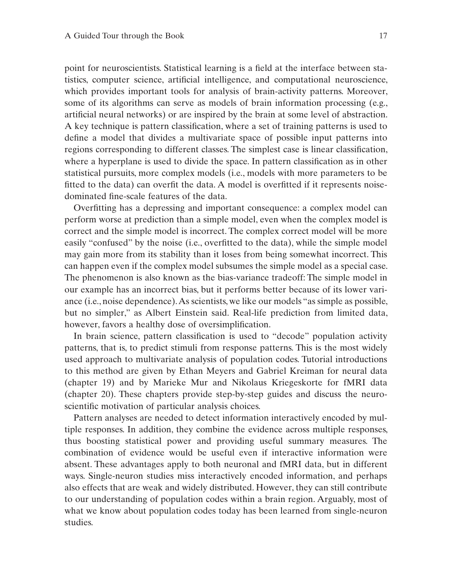point for neuroscientists. Statistical learning is a field at the interface between statistics, computer science, artificial intelligence, and computational neuroscience, which provides important tools for analysis of brain-activity patterns. Moreover, some of its algorithms can serve as models of brain information processing (e.g., artificial neural networks) or are inspired by the brain at some level of abstraction. A key technique is pattern classification, where a set of training patterns is used to define a model that divides a multivariate space of possible input patterns into regions corresponding to different classes. The simplest case is linear classification, where a hyperplane is used to divide the space. In pattern classification as in other statistical pursuits, more complex models (i.e., models with more parameters to be fitted to the data) can overfit the data. A model is overfitted if it represents noisedominated fine-scale features of the data.

Overfitting has a depressing and important consequence: a complex model can perform worse at prediction than a simple model, even when the complex model is correct and the simple model is incorrect. The complex correct model will be more easily "confused" by the noise (i.e., overfitted to the data), while the simple model may gain more from its stability than it loses from being somewhat incorrect. This can happen even if the complex model subsumes the simple model as a special case. The phenomenon is also known as the bias-variance tradeoff: The simple model in our example has an incorrect bias, but it performs better because of its lower variance (i.e., noise dependence). As scientists, we like our models " as simple as possible, but no simpler," as Albert Einstein said. Real-life prediction from limited data, however, favors a healthy dose of oversimplification.

In brain science, pattern classification is used to "decode" population activity patterns, that is, to predict stimuli from response patterns. This is the most widely used approach to multivariate analysis of population codes. Tutorial introductions to this method are given by Ethan Meyers and Gabriel Kreiman for neural data (chapter 19) and by Marieke Mur and Nikolaus Kriegeskorte for fMRI data (chapter 20). These chapters provide step-by-step guides and discuss the neuroscientific motivation of particular analysis choices.

 Pattern analyses are needed to detect information interactively encoded by multiple responses. In addition, they combine the evidence across multiple responses, thus boosting statistical power and providing useful summary measures. The combination of evidence would be useful even if interactive information were absent. These advantages apply to both neuronal and fMRI data, but in different ways. Single-neuron studies miss interactively encoded information, and perhaps also effects that are weak and widely distributed. However, they can still contribute to our understanding of population codes within a brain region. Arguably, most of what we know about population codes today has been learned from single-neuron studies.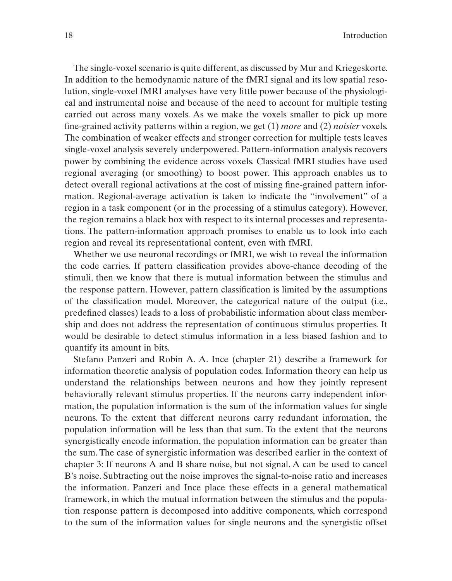The single-voxel scenario is quite different, as discussed by Mur and Kriegeskorte. In addition to the hemodynamic nature of the fMRI signal and its low spatial resolution, single-voxel fMRI analyses have very little power because of the physiological and instrumental noise and because of the need to account for multiple testing carried out across many voxels. As we make the voxels smaller to pick up more fine-grained activity patterns within a region, we get (1) *more* and (2) *noisier* voxels. The combination of weaker effects and stronger correction for multiple tests leaves single-voxel analysis severely underpowered. Pattern-information analysis recovers power by combining the evidence across voxels. Classical fMRI studies have used regional averaging (or smoothing) to boost power. This approach enables us to detect overall regional activations at the cost of missing fine-grained pattern information. Regional-average activation is taken to indicate the "involvement" of a region in a task component (or in the processing of a stimulus category). However, the region remains a black box with respect to its internal processes and representations. The pattern-information approach promises to enable us to look into each region and reveal its representational content, even with fMRI.

 Whether we use neuronal recordings or fMRI, we wish to reveal the information the code carries. If pattern classification provides above-chance decoding of the stimuli, then we know that there is mutual information between the stimulus and the response pattern. However, pattern classification is limited by the assumptions of the classification model. Moreover, the categorical nature of the output (i.e., predefined classes) leads to a loss of probabilistic information about class membership and does not address the representation of continuous stimulus properties. It would be desirable to detect stimulus information in a less biased fashion and to quantify its amount in bits.

 Stefano Panzeri and Robin A. A. Ince (chapter 21) describe a framework for information theoretic analysis of population codes. Information theory can help us understand the relationships between neurons and how they jointly represent behaviorally relevant stimulus properties. If the neurons carry independent information, the population information is the sum of the information values for single neurons. To the extent that different neurons carry redundant information, the population information will be less than that sum. To the extent that the neurons synergistically encode information, the population information can be greater than the sum. The case of synergistic information was described earlier in the context of chapter 3: If neurons A and B share noise, but not signal, A can be used to cancel B's noise. Subtracting out the noise improves the signal-to-noise ratio and increases the information. Panzeri and Ince place these effects in a general mathematical framework, in which the mutual information between the stimulus and the population response pattern is decomposed into additive components, which correspond to the sum of the information values for single neurons and the synergistic offset